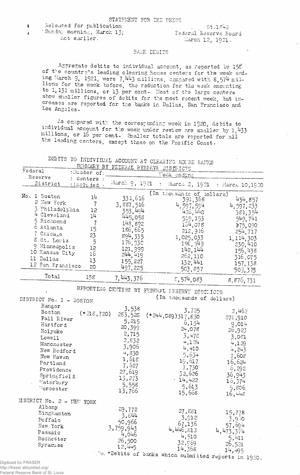l Released for publication . St.1842 Sunday morning, March 13;<br>not earlier.<br> $\frac{1}{3}$  Federal Reserve Board March 12, 1921.

## BANK DEBITS

Aggregate debits to individual account, as reported by 158 of the country's leading clearing house centers for the week ending March 9, 1921, were 7,443 millions, compared with 8,574 millions for the week before, the reduction for the week amounting to 1,131 millions, or 13 per cent. Most of the large centers show smaller figures of debits for the most recent week, but increases are reported for the banks in Dallas, San Francisco and Los Angeles.

As compared with the corresponding week in 1920, debits to individual account for the week under review are snaller by 1,433 millions, or 16 per cent. Smaller totals are reported for all the leading centers, except those on the Pacific Coast.

DEBITS TO INDIVIDUAL ACCOUNT AT CLEARING HOUSE BANKS SUMMARY BY FEDERAL RESERV

| $\cdots$ . The state of the state of the state of the state of the state of the state of the state of the state of the state of the state of the state of the state of the state of the state of the state of the state of the s |  |
|----------------------------------------------------------------------------------------------------------------------------------------------------------------------------------------------------------------------------------|--|
|                                                                                                                                                                                                                                  |  |
|                                                                                                                                                                                                                                  |  |
|                                                                                                                                                                                                                                  |  |
|                                                                                                                                                                                                                                  |  |

| Federal                   | $\frac{200}{200}$<br>:Number of: | ച<br>T <del>enryyn</del> krofyaf<br>DISTRICTS |                                                                    |                               |
|---------------------------|----------------------------------|-----------------------------------------------|--------------------------------------------------------------------|-------------------------------|
| Reserve                   | : centers :                      |                                               | Veck ending                                                        |                               |
| District                  | included                         | March 9, 1921                                 | $\ddot{\cdot}$                                                     | March 2, 1921 : March 10,1920 |
| No. 1 Boston              |                                  |                                               | (In thousands of dollars)                                          |                               |
| 2 New York                | 14                               | 331,616                                       | 391,368                                                            | 434,857                       |
|                           | $\overline{7}$                   |                                               | 4,597,594                                                          | 4,597,233                     |
| 3 Philadelphia            | 12                               | 3, 887, 516<br>353, 494                       | 426,440                                                            | 381,354                       |
| 4 Cleveland               | 14                               | 445,058                                       | 519,153                                                            | 549,741                       |
| 5 Richmond                | $\overline{7}$                   | 148,892                                       | 154,078                                                            |                               |
| 6 Atlanta                 | 15                               | 186,665                                       |                                                                    | 175,090                       |
| 7 Chicago                 | 23                               | 894, 335                                      | 212,916                                                            | 254,717                       |
| 8 St. Louis               | 5                                |                                               | 1,025,033                                                          | 1, 114, 303                   |
| 9 Minneapolis             | 12                               | 176,930                                       | 196,949                                                            | 230,410                       |
| 10 Kansas City            | 16                               | 121, 999<br>244, 419                          | 142,144                                                            | 156,438                       |
| 11 Dallas                 |                                  |                                               | 262,110                                                            | 316,075                       |
| 12 San Francisco          | 13                               | 155,227                                       | 132,441                                                            | 157,138                       |
|                           | 20                               | 497, 225                                      | 503,857                                                            | 509,375                       |
| Total                     | 158                              | 7, 443, 376                                   | 5,574,083                                                          | 8,876,731                     |
|                           |                                  |                                               | RFPORTING CENTERS BY FEDERAL EESERVE DISTRICTS                     |                               |
|                           |                                  |                                               | (In thousands of dollars)                                          |                               |
| DISTRICT No. 1 - BOSTON   |                                  |                                               |                                                                    |                               |
| Bangor                    |                                  | 3,538                                         |                                                                    |                               |
| Boston                    | $(*218,720)$                     | 283,528                                       | 3,725                                                              | 2,462                         |
| Fall River                |                                  | 5,215                                         | $(*244,089)317,830$                                                | 278,910                       |
| Hartford                  |                                  | 20,399                                        | 6,154                                                              | 9,014                         |
| Holyoke                   |                                  |                                               | 24,078                                                             | 26,923                        |
| Lowell                    |                                  | 2,715                                         | $3,47\varepsilon$                                                  | 3,081                         |
| Manchester                |                                  | 2,832                                         | 4,124                                                              | 4,129                         |
| New Bedford               |                                  | 3,906                                         | 4,410                                                              | 4,243                         |
| New Haven                 |                                  | 4,830                                         | 5,654                                                              | 7,608                         |
| Portland                  |                                  | 1,618                                         | 19,617                                                             | 16,624                        |
|                           |                                  | 7,627                                         | 7,730                                                              | 6,292                         |
| Providence                |                                  | 27,619                                        | 32,626                                                             |                               |
| Springfield               |                                  | 13,273                                        | .14,422                                                            | 36,943                        |
| Waterbury                 |                                  | 5,558                                         | 5,613                                                              | 16,374                        |
| Vorcester                 |                                  | 13,766                                        | 15,668                                                             | 5,806<br>16,448               |
| MISTRICT No. 2 - NEW YORK |                                  |                                               |                                                                    |                               |
| Albany                    |                                  |                                               |                                                                    |                               |
| Binghamton                |                                  | 29,772                                        | 27,881                                                             | 15,778                        |
| <b><i>Puffalo</i></b>     |                                  | 3,844                                         | 3,912                                                              | 3,950                         |
| New York                  |                                  | 50,966                                        | 67,136                                                             | 57,694                        |
| Passaic                   |                                  | 3,759,943                                     | 4,446,813                                                          | 4, 473, 374                   |
| Rochester                 |                                  | 4,046                                         | 4,510                                                              | 5,411                         |
|                           |                                  | 26,500                                        | 32,969                                                             | 26,521                        |
| Syracuse                  |                                  | 12,445                                        | 14,368                                                             | 14,495                        |
|                           |                                  |                                               | $\mathbb{R}^{n}$ *Debits of banks which submitted reports in 1920. |                               |

Digitized for FRASER http://fraser.stlouisfed.org/

Federal Reserve Bank of St. Louis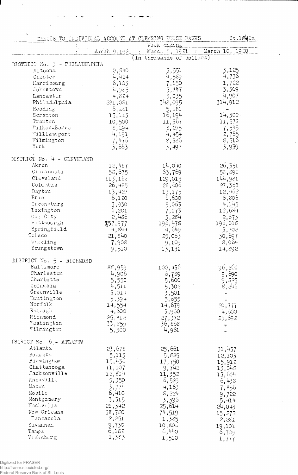DEBITS TO INDIVIDUAL ACCOUNT AT CLEARING HOUSE PANKS St.1842a Week ending<br>March 9,1921 : March 2, 1921 : March 10, 1920 (In thousands of dollars) DISTRICT No. 3 - PHILADELPHIA  $2,840$ Altoona 3,125 3,551  $4,559$ 4,736 Chester  $4,424$ Earrisourg 6,103 7,150 1,722 4,985  $5,847$ 3,309 Johnstown  $4,824$ 4,907 5,035 Lancaster 314,912 Philadelphia 281,081 348,095  $\begin{array}{c} 5,881 \\ 16,194 \end{array}$ Reading  $6,281$  $14,300.$ Scranton 15,113 Trenton  $10,500$ 11,578 11,367  $8,294$  $8, 275$ <br>4, 454  $7,545$ Wilkes-Barre 2,765  $4,191$ Williamsport  $8,386$ 7,476 Wilmington 8,516  $3,663$ York 3,497 3,939 DISTRICT No.  $4$  - CLEVELAND Akron 12,487 14,040 - 26,351 Cincinnati  $63,769$ 58,890 58,675  $C1$ cveland  $113,16\tilde{c}$  $129,013$ 144,981  $27,358$ Columbus 26,485 28 , 606 Day ton  $1\frac{3}{2},\frac{1}{2}75$ 13,427 -12,462  $5,063$ <br>5,063<br>7,173<br>3,284<br>3,284<br>196,478 6,806 Erie 6,120 Greensburg 3,930 4,145 Lexington  $12,684$ 6,201 Oil City 2,486  $\frac{2,673}{196,018}$ Pittsburgh  $$57,977$ Springfield 4,844 4,649 3,702 Toledo  $21,840$ 25,063 30,697 Wheeling 9,109 7,908 8,064 13,131 Youngstown 9,510 14,892 DISTRICT No. 5 - RICHMOND Baltimore 88,959<br>4,906 96,260  $100,436$ Charleston 6,789 9,690  $5,550$ Charlotte 5,600 9,825  $4,511$ Columbia 5,302 -8,246  $3,501$ Greenville  $3,014.$  $\sim$  $Euntington$  $\frac{5,394}{14,554}$ 5,655 Norfolk 14,679  $20,777$ Raleigh<br>Richmond 4,600 3,900 ંમ, 600 25,812  $27,372$  $25,592$ Washington 33,255 36,868  $\overline{\mathbf{r}}$ Wilmington 5,300  $4,961$ ISTRICT No. 6 - ATLANTA Atlanta 23,678 25,661  $31,437$ Augusta  $5,113$ 5,825 12,103 17,750 Birmingham 15,912 15,436 Chattanooga 11,107  $9,742$ 13,048 Jacksonville 12,814 11,352  $13,604$ 5,350 Knoxville  $6,529$ 6,438 3,774<br>6,410 Macon Macon<br>Mobile 4,163 7,856 8,224 9,722 Montgomery  $-3,315$ 3,395  $5,414$ Nashville  $24,043$  $21,342$  $25,614$ New Orleans 58,780  $7^{14}$ , 519  $$5,272$ 1,385 Pensacola  $2,251$  $2,251$ Savannah  $9,730$ 10,806 19,101  $6,182$ <br>1,383 6,440 Tampa 6,709

1,510

1,777

ورياضه التهضير الواريساء

 $\sim 100$  km s  $^{-1}$ 

 $\frac{1}{2}$  ,  $\frac{1}{2}$  ,  $\frac{1}{2}$ 

 $\mathcal{A}^{\mathcal{A}}$  , where  $\mathcal{A}^{\mathcal{A}}$  are  $\mathcal{A}^{\mathcal{A}}$  , and  $\mathcal{A}^{\mathcal{A}}$ 

Vicksburg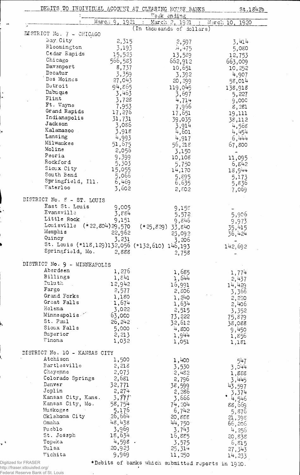|                                 |                                                | DEBITS TO INDIVIDEAL ACCOUNT AT CLEARING HOUSE BANKS | \$t.1842b        |
|---------------------------------|------------------------------------------------|------------------------------------------------------|------------------|
|                                 | March 9, 1921                                  | Week ending                                          |                  |
|                                 |                                                | March 2, 1921<br>(In thousands of dollars)           | March 10, 1920   |
| <b>NISTRICT No. 7 - CHICAGO</b> |                                                |                                                      |                  |
| Bay City                        | 2,315                                          | 2,597                                                | 3,414            |
| Bloomington                     | 3,193                                          | 4,475                                                | 5,080            |
| Cedar Rapids                    | 15,523                                         | 13,589                                               | 12,753           |
| Chicago                         | 566,583                                        | 662,912                                              | 663,009          |
| Davenport                       | 8,737                                          | 10,651                                               | 10,252           |
| Decatur                         | 3,359                                          | 3,392                                                | 4,907            |
| Des Moines                      | 27,043                                         | 20,299                                               | 58,014           |
| Detroit                         | 94,865                                         | 119,045                                              |                  |
| Dubuque                         | 3,463                                          | 3,697                                                | 138,918<br>5,227 |
| Flint                           | 3,728                                          | 4,714                                                |                  |
| Ft. Wayne                       | 7,953                                          | 7,966                                                | 9,000<br>8,281   |
| Grand Rapids                    | 17,276                                         | 17,651                                               | 19,111           |
| Indianapolis                    | 31,731                                         | 39,035                                               | 38,112           |
| Jackson                         | 3,086                                          | 3,914                                                | 4,568            |
| Kalamazoo                       | 3,918                                          | 4,601                                                | 4,454            |
| Lansing                         | 4,993                                          | 4,917                                                | 6,444            |
| Milwaukee                       | 51,675                                         | 56,218                                               | 67,800           |
| Moline                          | 2,056                                          | 3,150                                                |                  |
| Peoria                          | 9,399                                          | 10,108                                               | 11,095           |
| Rockford                        | 5,303                                          | 5,750                                                | 6,842            |
| Sioux City                      | 15,055                                         | 14,170                                               |                  |
| South Bend                      | 5,066                                          | 5,895                                                | 18,944           |
| Springfield, Ill.               | 6,469                                          | 6,635                                                | 5,173            |
| Waterloo                        | 3,602                                          | 2,802                                                | 5,836<br>7,069   |
|                                 |                                                |                                                      |                  |
| DISTRICT No. 8 - ST. LOUIS      |                                                |                                                      |                  |
| East St. Louis                  | 9,005                                          | 9,155                                                |                  |
| Evansville                      | 3,884                                          | 5,572                                                | 5,906            |
| Little Rock                     | 9,151                                          | 9,846                                                | 9,973            |
| Louisville                      | $(*22,804)29,570$                              | $(*25,829)$<br>33,840                                | 35,415           |
| Memphis                         | 22,962                                         | 23,092                                               | 36,424           |
| Quincy                          | 3,231                                          | 3,206                                                |                  |
|                                 | St. Louis (*118,129)132,056 (*132,610) 146,193 |                                                      | 142,692          |
| Springfield, Mo.                | 2,888                                          | 2,758                                                |                  |
|                                 |                                                |                                                      |                  |
| DISTRICT No. 9 - MINNEAPOLIS    |                                                |                                                      |                  |
|                                 |                                                |                                                      |                  |
| Aberdeen                        | 1,276                                          | 1,685                                                | 1,774            |
| Billings                        | 1,841                                          | 1,644                                                | 2,437            |
| <b>Duluth</b>                   | 12,942                                         | 16,991                                               | 14,429           |
| Fargo                           | 2,577                                          | 2,806                                                | 3,366            |
| Grand Forks                     | 1,180                                          | 1,240                                                | 2,230            |
| Great Falls                     | 1,674                                          | 1,634                                                | 2,406            |
| Helena                          | 3,022                                          | 2,515                                                | 3,352            |
| Minneapolis                     | 63,000                                         | 73,222                                               | 75,879           |
| St. Paul                        | 26,242                                         | 32,612                                               | 38,088           |
| Sioux Falls                     | 5,000                                          | 4,800                                                | 9,450            |
| Superior                        | 2, 213                                         | 1,944                                                | 1,856            |
| <i>Winona</i>                   | 1,032                                          | 1,051                                                | 1,181            |
|                                 |                                                |                                                      |                  |
| DISTRICT No. 10 - KANSAS CITY   |                                                |                                                      |                  |
| Atchison                        | 1,500                                          | 1,400                                                | 547              |
| Bartlesville                    | 2,218                                          | 3,530                                                | 3,044            |
| Cheyenne                        | 2,073                                          | 2,482                                                | 1,888            |
| Colorado Springs<br>Denver      | 2,681                                          | 2,796                                                | 3,445            |
|                                 | 32,771                                         | 38,599                                               | 43,597           |
| Joplin                          | 2,274                                          | 2,286                                                | 3,374            |
| Kansas City, Kans.              | 3,777                                          | 3,666                                                | $-4,546$         |
| Kansas City, Mo.                | 58,754                                         | 74, 204                                              | 88,669           |
| Muskogee                        | 5,176                                          | 6,742                                                | 5,876            |
| Oklahoma City                   | 26,664                                         | 20,888                                               | 21,398           |
| Omaha                           | 48,438                                         | 44,750                                               | 66,206           |
| Fueblo                          | 3,969                                          | 3,743                                                | 4,256            |
| St. Joseph                      | 18,634                                         | 16,885                                               | 20,838           |
| Topeka                          | $4,598$ .                                      | 3,575                                                | 6,815            |
| Tulsa<br>Wichita                | 20,923<br>9,969                                | 25,314<br>11,250                                     | 27,343<br>14,233 |

http://fraser.stlouisfed.org/ Federal Reserve Bank of St. Louis